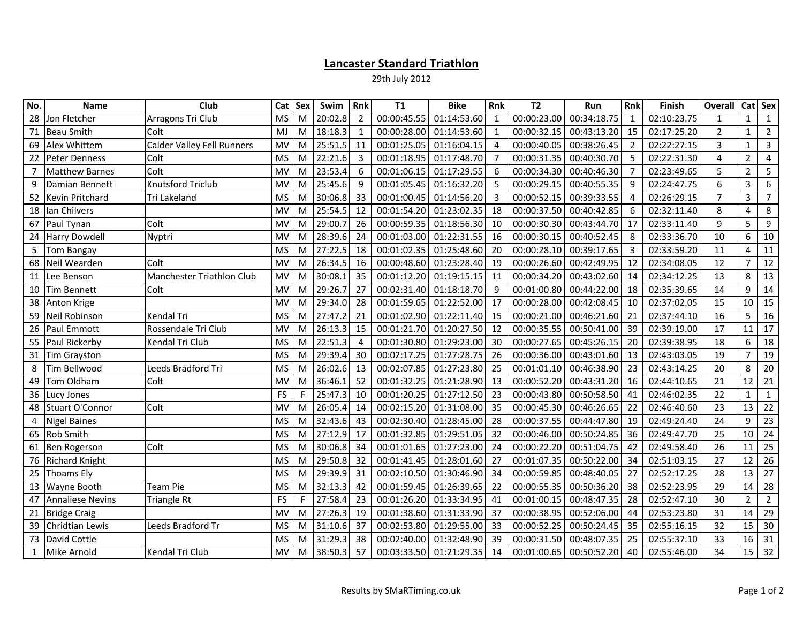## Lancaster Standard Triathlon

29th July 2012

| No. | <b>Name</b>             | Club                              | Cat            | Sex | Swim    | Rnk            | <b>T1</b>   | <b>Bike</b>      | Rnk                   | T <sub>2</sub> | Run         | <b>Rnk</b>     | Finish      | <b>Overall</b> | Cat Sex        |                |
|-----|-------------------------|-----------------------------------|----------------|-----|---------|----------------|-------------|------------------|-----------------------|----------------|-------------|----------------|-------------|----------------|----------------|----------------|
| 28  | Jon Fletcher            | Arragons Tri Club                 | <b>MS</b>      | M   | 20:02.8 | $\overline{2}$ | 00:00:45.55 | 01:14:53.60      | $\mathbf{1}$          | 00:00:23.00    | 00:34:18.75 | $\mathbf{1}$   | 02:10:23.75 | 1              | 1              | 1              |
| 71  | <b>Beau Smith</b>       | Colt                              | <b>MJ</b>      | M   | 18:18.3 | $\mathbf{1}$   | 00:00:28.00 | 01:14:53.60      |                       | 00:00:32.15    | 00:43:13.20 | 15             | 02:17:25.20 | $\overline{2}$ | $\mathbf{1}$   | $\overline{2}$ |
| 69  | Alex Whittem            | <b>Calder Valley Fell Runners</b> | <b>MV</b>      | M   | 25:51.5 | 11             | 00:01:25.05 | 01:16:04.15      | $\boldsymbol{\Delta}$ | 00:00:40.05    | 00:38:26.45 | $\overline{2}$ | 02:22:27.15 | 3              | $\mathbf{1}$   | $\mathbf{3}$   |
| 22  | <b>Peter Denness</b>    | Colt                              | <b>MS</b>      | M   | 22:21.6 | 3              | 00:01:18.95 | 01:17:48.70      | 7                     | 00:00:31.35    | 00:40:30.70 | 5              | 02:22:31.30 | 4              | $\overline{2}$ | 4              |
| 7   | <b>Matthew Barnes</b>   | Colt                              | MV             | M   | 23:53.4 | 6              | 00:01:06.15 | 01:17:29.55      | -6                    | 00:00:34.30    | 00:40:46.30 | $\overline{7}$ | 02:23:49.65 | 5              | $\overline{2}$ | 5              |
| 9   | Damian Bennett          | <b>Knutsford Triclub</b>          | MV             | M   | 25:45.6 | 9              | 00:01:05.45 | 01:16:32.20      | -5                    | 00:00:29.15    | 00:40:55.35 | 9              | 02:24:47.75 | 6              | $\overline{3}$ | 6              |
| 52  | Kevin Pritchard         | <b>Tri Lakeland</b>               | <b>MS</b>      | M   | 30:06.8 | 33             | 00:01:00.45 | 01:14:56.20      | 3                     | 00:00:52.15    | 00:39:33.55 | 4              | 02:26:29.15 | $\overline{7}$ | $\overline{3}$ | $\overline{7}$ |
| 18  | Ian Chilvers            |                                   | MV             | M   | 25:54.5 | 12             | 00:01:54.20 | 01:23:02.35      | 18                    | 00:00:37.50    | 00:40:42.85 | 6              | 02:32:11.40 | 8              | 4              | 8              |
| 67  | Paul Tynan              | Colt                              | MV             | M   | 29:00.7 | 26             | 00:00:59.35 | 01:18:56.30      | 10                    | 00:00:30.30    | 00:43:44.70 | 17             | 02:33:11.40 | 9              | 5              | 9              |
| 24  | <b>Harry Dowdell</b>    | Nyptri                            | MV             | M   | 28:39.6 | 24             | 00:01:03.00 | 01:22:31.55      | 16                    | 00:00:30.15    | 00:40:52.45 | 8              | 02:33:36.70 | 10             | 6              | 10             |
| 5   | <b>Tom Bangay</b>       |                                   | <b>MS</b>      | M   | 27:22.5 | 18             | 00:01:02.35 | 01:25:48.60      | 20                    | 00:00:28.10    | 00:39:17.65 | 3              | 02:33:59.20 | 11             | 4              | 11             |
| 68  | Neil Wearden            | Colt                              | $M\lambda$     | M   | 26:34.5 | 16             | 00:00:48.60 | 01:23:28.40      | 19                    | 00:00:26.60    | 00:42:49.95 | 12             | 02:34:08.05 | 12             | $\overline{7}$ | 12             |
| 11  | Lee Benson              | Manchester Triathlon Club         | MV             | M   | 30:08.1 | 35             | 00:01:12.20 | 01:19:15.15      | 11                    | 00:00:34.20    | 00:43:02.60 | 14             | 02:34:12.25 | 13             | 8              | 13             |
| 10  | Tim Bennett             | Colt                              | MV             | M   | 29:26.7 | 27             | 00:02:31.40 | 01:18:18.70      | - 9                   | 00:01:00.80    | 00:44:22.00 | 18             | 02:35:39.65 | 14             | 9              | 14             |
| 38  | Anton Krige             |                                   | MV             | M   | 29:34.0 | 28             | 00:01:59.65 | 01:22:52.00 17   |                       | 00:00:28.00    | 00:42:08.45 | 10             | 02:37:02.05 | 15             | 10             | 15             |
| 59  | <b>Neil Robinson</b>    | Kendal Tri                        | <b>MS</b>      | M   | 27:47.2 | 21             | 00:01:02.90 | $01:22:11.40$ 15 |                       | 00:00:21.00    | 00:46:21.60 | 21             | 02:37:44.10 | 16             | 5              | 16             |
| 26  | <b>Paul Emmott</b>      | Rossendale Tri Club               | MV             | M   | 26:13.3 | 15             | 00:01:21.70 | 01:20:27.50 12   |                       | 00:00:35.55    | 00:50:41.00 | 39             | 02:39:19.00 | 17             | 11             | 17             |
| 55  | Paul Rickerby           | Kendal Tri Club                   | <b>MS</b>      | M   | 22:51.3 | $\overline{4}$ | 00:01:30.80 | 01:29:23.00      | 30                    | 00:00:27.65    | 00:45:26.15 | 20             | 02:39:38.95 | 18             | 6              | 18             |
| 31  | <b>Tim Grayston</b>     |                                   | <b>MS</b>      | M   | 29:39.4 | 30             | 00:02:17.25 | 01:27:28.75      | 26                    | 00:00:36.00    | 00:43:01.60 | 13             | 02:43:03.05 | 19             | $\overline{7}$ | 19             |
| 8   | Tim Bellwood            | Leeds Bradford Tri                | <b>MS</b>      | M   | 26:02.6 | 13             | 00:02:07.85 | 01:27:23.80      | 25                    | 00:01:01.10    | 00:46:38.90 | 23             | 02:43:14.25 | 20             | 8              | 20             |
| 49  | Tom Oldham              | Colt                              | M <sub>V</sub> | M   | 36:46.1 | 52             | 00:01:32.25 | 01:21:28.90      | 13                    | 00:00:52.20    | 00:43:31.20 | 16             | 02:44:10.65 | 21             | 12             | 21             |
| 36  | Lucy Jones              |                                   | FS             | F   | 25:47.3 | 10             | 00:01:20.25 | 01:27:12.50      | 23                    | 00:00:43.80    | 00:50:58.50 | 41             | 02:46:02.35 | 22             | $\mathbf{1}$   | $\mathbf{1}$   |
|     | 48 Stuart O'Connor      | Colt                              | MV             | M   | 26:05.4 | 14             | 00:02:15.20 | 01:31:08.00 35   |                       | 00:00:45.30    | 00:46:26.65 | 22             | 02:46:40.60 | 23             | 13             | 22             |
| 4   | <b>Nigel Baines</b>     |                                   | <b>MS</b>      | M   | 32:43.6 | 43             | 00:02:30.40 | 01:28:45.00      | 28                    | 00:00:37.55    | 00:44:47.80 | 19             | 02:49:24.40 | 24             | 9              | 23             |
| 65  | Rob Smith               |                                   | <b>MS</b>      | M   | 27:12.9 | 17             | 00:01:32.85 | 01:29:51.05      | 32                    | 00:00:46.00    | 00:50:24.85 | 36             | 02:49:47.70 | 25             | 10             | 24             |
| 61  | <b>Ben Rogerson</b>     | Colt                              | <b>MS</b>      | M   | 30:06.8 | 34             | 00:01:01.65 | 01:27:23.00      | 24                    | 00:00:22.20    | 00:51:04.75 | 42             | 02:49:58.40 | 26             | 11             | 25             |
| 76  | <b>Richard Knight</b>   |                                   | <b>MS</b>      | M   | 29:50.8 | 32             | 00:01:41.45 | 01:28:01.60      | 27                    | 00:01:07.35    | 00:50:22.00 | 34             | 02:51:03.15 | 27             | 12             | 26             |
| 25  | Thoams Ely              |                                   | <b>MS</b>      | M   | 29:39.9 | 31             | 00:02:10.50 | 01:30:46.90      | 34                    | 00:00:59.85    | 00:48:40.05 | 27             | 02:52:17.25 | 28             | 13             | 27             |
| 13  | Wayne Booth             | <b>Team Pie</b>                   | <b>MS</b>      | M   | 32:13.3 | 42             | 00:01:59.45 | 01:26:39.65      | 22                    | 00:00:55.35    | 00:50:36.20 | 38             | 02:52:23.95 | 29             | 14             | 28             |
| 47  | <b>Annaliese Nevins</b> | <b>Triangle Rt</b>                | FS             | F   | 27:58.4 | 23             | 00:01:26.20 | 01:33:34.95      | 41                    | 00:01:00.15    | 00:48:47.35 | 28             | 02:52:47.10 | 30             | $\overline{2}$ | $2^{\circ}$    |
| 21  | <b>Bridge Craig</b>     |                                   | MV             | M   | 27:26.3 | 19             | 00:01:38.60 | 01:31:33.90      | 37                    | 00:00:38.95    | 00:52:06.00 | 44             | 02:53:23.80 | 31             | 14             | 29             |
| 39  | Chridtian Lewis         | Leeds Bradford Tr                 | <b>MS</b>      | M   | 31:10.6 | 37             | 00:02:53.80 | 01:29:55.00 33   |                       | 00:00:52.25    | 00:50:24.45 | 35             | 02:55:16.15 | 32             | 15             | 30             |
| 73  | David Cottle            |                                   | <b>MS</b>      | M   | 31:29.3 | 38             | 00:02:40.00 | 01:32:48.90      | 39                    | 00:00:31.50    | 00:48:07.35 | 25             | 02:55:37.10 | 33             | 16             | 31             |
| 1   | Mike Arnold             | Kendal Tri Club                   | MV             | M   | 38:50.3 | 57             | 00:03:33.50 | 01:21:29.35      | 14                    | 00:01:00.65    | 00:50:52.20 | 40             | 02:55:46.00 | 34             | 15             | 32             |